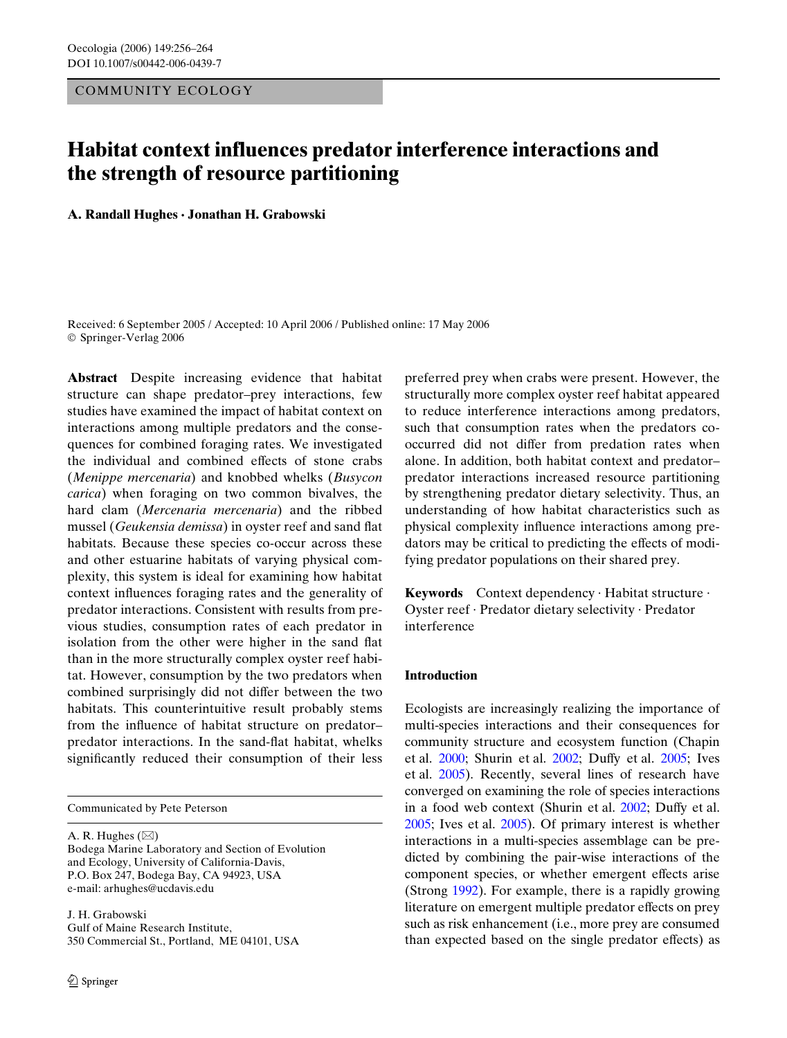# COMMUNITY ECOLOGY

# **Habitat context influences predator interference interactions and the strength of resource partitioning**

**A. Randall Hughes · Jonathan H. Grabowski** 

Received: 6 September 2005 / Accepted: 10 April 2006 / Published online: 17 May 2006 © Springer-Verlag 2006

**Abstract** Despite increasing evidence that habitat structure can shape predator–prey interactions, few studies have examined the impact of habitat context on interactions among multiple predators and the consequences for combined foraging rates. We investigated the individual and combined effects of stone crabs (*Menippe mercenaria*) and knobbed whelks (*Busycon carica*) when foraging on two common bivalves, the hard clam (*Mercenaria mercenaria*) and the ribbed mussel (*Geukensia demissa*) in oyster reef and sand flat habitats. Because these species co-occur across these and other estuarine habitats of varying physical complexity, this system is ideal for examining how habitat context influences foraging rates and the generality of predator interactions. Consistent with results from previous studies, consumption rates of each predator in isolation from the other were higher in the sand flat than in the more structurally complex oyster reef habitat. However, consumption by the two predators when combined surprisingly did not differ between the two habitats. This counterintuitive result probably stems from the influence of habitat structure on predator– predator interactions. In the sand-flat habitat, whelks significantly reduced their consumption of their less

Communicated by Pete Peterson

A. R. Hughes  $(\boxtimes)$ Bodega Marine Laboratory and Section of Evolution and Ecology, University of California-Davis, P.O. Box 247, Bodega Bay, CA 94923, USA e-mail: arhughes@ucdavis.edu

J. H. Grabowski Gulf of Maine Research Institute, 350 Commercial St., Portland, ME 04101, USA preferred prey when crabs were present. However, the structurally more complex oyster reef habitat appeared to reduce interference interactions among predators, such that consumption rates when the predators cooccurred did not differ from predation rates when alone. In addition, both habitat context and predator– predator interactions increased resource partitioning by strengthening predator dietary selectivity. Thus, an understanding of how habitat characteristics such as physical complexity influence interactions among predators may be critical to predicting the effects of modifying predator populations on their shared prey.

**Keywords** Context dependency · Habitat structure · Oyster reef · Predator dietary selectivity · Predator interference

# **Introduction**

Ecologists are increasingly realizing the importance of multi-species interactions and their consequences for community structure and ecosystem function (Chapin et al. [2000;](#page-7-0) Shurin et al. [2002;](#page-8-0) Duffy et al. [2005](#page-7-1); Ives et al. [2005\)](#page-8-1). Recently, several lines of research have converged on examining the role of species interactions in a food web context (Shurin et al. [2002;](#page-8-0) Duffy et al. [2005;](#page-7-1) Ives et al. [2005](#page-8-1)). Of primary interest is whether interactions in a multi-species assemblage can be predicted by combining the pair-wise interactions of the component species, or whether emergent effects arise (Strong [1992\)](#page-8-2). For example, there is a rapidly growing literature on emergent multiple predator effects on prey such as risk enhancement (i.e., more prey are consumed than expected based on the single predator effects) as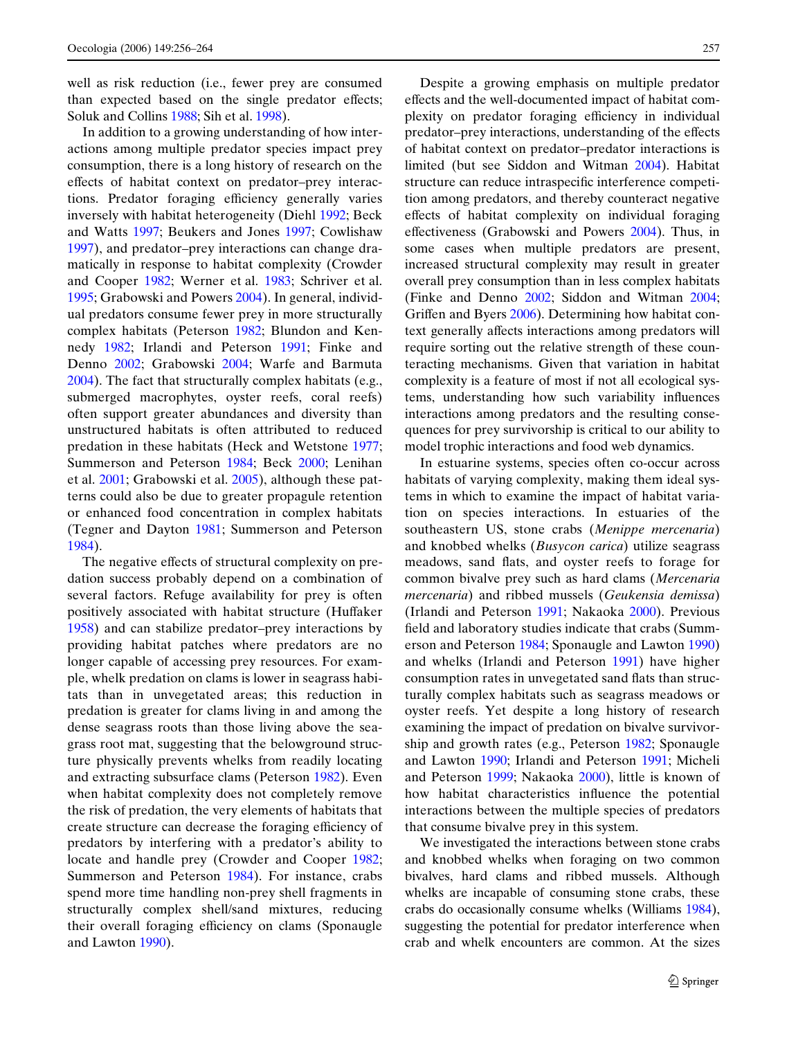well as risk reduction (i.e., fewer prey are consumed than expected based on the single predator effects; Soluk and Collins [1988](#page-8-3); Sih et al. [1998](#page-8-4)).

In addition to a growing understanding of how interactions among multiple predator species impact prey consumption, there is a long history of research on the effects of habitat context on predator–prey interactions. Predator foraging efficiency generally varies inversely with habitat heterogeneity (Diehl [1992;](#page-7-2) Beck and Watts [1997;](#page-7-3) Beukers and Jones [1997;](#page-7-4) Cowlishaw [1997](#page-7-5)), and predator–prey interactions can change dramatically in response to habitat complexity (Crowder and Cooper [1982](#page-7-6); Werner et al. [1983](#page-8-5); Schriver et al. [1995](#page-8-6); Grabowski and Powers [2004](#page-8-7)). In general, individual predators consume fewer prey in more structurally complex habitats (Peterson [1982;](#page-8-8) Blundon and Kennedy [1982;](#page-7-7) Irlandi and Peterson [1991](#page-8-9); Finke and Denno [2002;](#page-7-8) Grabowski [2004](#page-7-9); Warfe and Barmuta [2004](#page-8-10)). The fact that structurally complex habitats (e.g., submerged macrophytes, oyster reefs, coral reefs) often support greater abundances and diversity than unstructured habitats is often attributed to reduced predation in these habitats (Heck and Wetstone [1977;](#page-8-11) Summerson and Peterson [1984;](#page-8-12) Beck [2000;](#page-7-10) Lenihan et al. [2001](#page-8-13); Grabowski et al. [2005](#page-8-14)), although these patterns could also be due to greater propagule retention or enhanced food concentration in complex habitats (Tegner and Dayton [1981;](#page-8-15) Summerson and Peterson [1984](#page-8-12)).

The negative effects of structural complexity on predation success probably depend on a combination of several factors. Refuge availability for prey is often positively associated with habitat structure (Huffaker [1958](#page-8-16)) and can stabilize predator–prey interactions by providing habitat patches where predators are no longer capable of accessing prey resources. For example, whelk predation on clams is lower in seagrass habitats than in unvegetated areas; this reduction in predation is greater for clams living in and among the dense seagrass roots than those living above the seagrass root mat, suggesting that the belowground structure physically prevents whelks from readily locating and extracting subsurface clams (Peterson [1982](#page-8-8)). Even when habitat complexity does not completely remove the risk of predation, the very elements of habitats that create structure can decrease the foraging efficiency of predators by interfering with a predator's ability to locate and handle prey (Crowder and Cooper [1982;](#page-7-6) Summerson and Peterson [1984\)](#page-8-12). For instance, crabs spend more time handling non-prey shell fragments in structurally complex shell/sand mixtures, reducing their overall foraging efficiency on clams (Sponaugle and Lawton [1990](#page-8-17)).

Despite a growing emphasis on multiple predator effects and the well-documented impact of habitat complexity on predator foraging efficiency in individual predator–prey interactions, understanding of the effects of habitat context on predator–predator interactions is limited (but see Siddon and Witman [2004\)](#page-8-18). Habitat structure can reduce intraspecific interference competition among predators, and thereby counteract negative effects of habitat complexity on individual foraging effectiveness (Grabowski and Powers  $2004$ ). Thus, in some cases when multiple predators are present, increased structural complexity may result in greater overall prey consumption than in less complex habitats (Finke and Denno [2002;](#page-7-8) Siddon and Witman [2004;](#page-8-18) Griffen and Byers  $2006$ ). Determining how habitat context generally affects interactions among predators will require sorting out the relative strength of these counteracting mechanisms. Given that variation in habitat complexity is a feature of most if not all ecological systems, understanding how such variability influences interactions among predators and the resulting consequences for prey survivorship is critical to our ability to model trophic interactions and food web dynamics.

In estuarine systems, species often co-occur across habitats of varying complexity, making them ideal systems in which to examine the impact of habitat variation on species interactions. In estuaries of the southeastern US, stone crabs (*Menippe mercenaria*) and knobbed whelks (*Busycon carica*) utilize seagrass meadows, sand flats, and oyster reefs to forage for common bivalve prey such as hard clams (*Mercenaria mercenaria*) and ribbed mussels (*Geukensia demissa*) (Irlandi and Peterson [1991;](#page-8-9) Nakaoka [2000](#page-8-20)). Previous field and laboratory studies indicate that crabs (Summerson and Peterson [1984](#page-8-12); Sponaugle and Lawton [1990](#page-8-17)) and whelks (Irlandi and Peterson [1991\)](#page-8-9) have higher consumption rates in unvegetated sand flats than structurally complex habitats such as seagrass meadows or oyster reefs. Yet despite a long history of research examining the impact of predation on bivalve survivorship and growth rates (e.g., Peterson [1982;](#page-8-8) Sponaugle and Lawton [1990](#page-8-17); Irlandi and Peterson [1991](#page-8-9); Micheli and Peterson [1999](#page-8-21); Nakaoka [2000\)](#page-8-20), little is known of how habitat characteristics influence the potential interactions between the multiple species of predators that consume bivalve prey in this system.

We investigated the interactions between stone crabs and knobbed whelks when foraging on two common bivalves, hard clams and ribbed mussels. Although whelks are incapable of consuming stone crabs, these crabs do occasionally consume whelks (Williams [1984](#page-8-22)), suggesting the potential for predator interference when crab and whelk encounters are common. At the sizes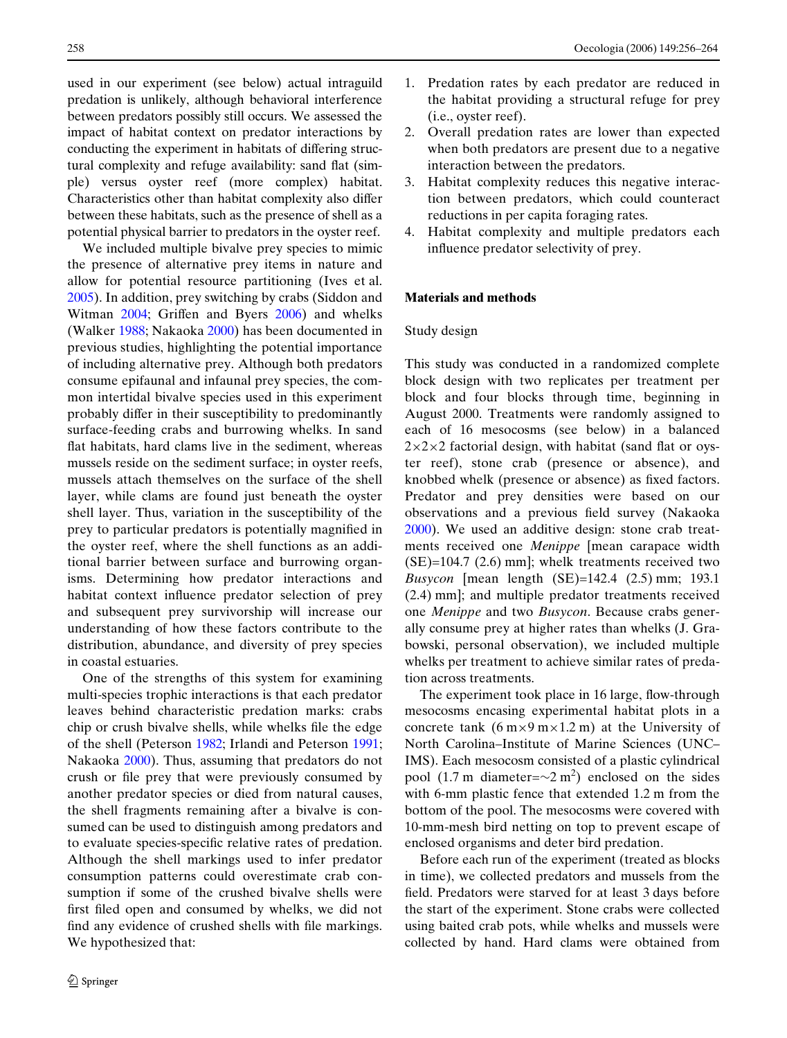used in our experiment (see below) actual intraguild predation is unlikely, although behavioral interference between predators possibly still occurs. We assessed the impact of habitat context on predator interactions by conducting the experiment in habitats of differing structural complexity and refuge availability: sand flat (simple) versus oyster reef (more complex) habitat. Characteristics other than habitat complexity also differ between these habitats, such as the presence of shell as a potential physical barrier to predators in the oyster reef.

We included multiple bivalve prey species to mimic the presence of alternative prey items in nature and allow for potential resource partitioning (Ives et al. [2005](#page-8-1)). In addition, prey switching by crabs (Siddon and Witman [2004](#page-8-18); Griffen and Byers [2006](#page-8-19)) and whelks (Walker [1988;](#page-8-23) Nakaoka [2000\)](#page-8-20) has been documented in previous studies, highlighting the potential importance of including alternative prey. Although both predators consume epifaunal and infaunal prey species, the common intertidal bivalve species used in this experiment probably differ in their susceptibility to predominantly surface-feeding crabs and burrowing whelks. In sand flat habitats, hard clams live in the sediment, whereas mussels reside on the sediment surface; in oyster reefs, mussels attach themselves on the surface of the shell layer, while clams are found just beneath the oyster shell layer. Thus, variation in the susceptibility of the prey to particular predators is potentially magnified in the oyster reef, where the shell functions as an additional barrier between surface and burrowing organisms. Determining how predator interactions and habitat context influence predator selection of prey and subsequent prey survivorship will increase our understanding of how these factors contribute to the distribution, abundance, and diversity of prey species in coastal estuaries.

One of the strengths of this system for examining multi-species trophic interactions is that each predator leaves behind characteristic predation marks: crabs chip or crush bivalve shells, while whelks file the edge of the shell (Peterson [1982](#page-8-8); Irlandi and Peterson [1991;](#page-8-9) Nakaoka [2000\)](#page-8-20). Thus, assuming that predators do not crush or file prey that were previously consumed by another predator species or died from natural causes, the shell fragments remaining after a bivalve is consumed can be used to distinguish among predators and to evaluate species-specific relative rates of predation. Although the shell markings used to infer predator consumption patterns could overestimate crab consumption if some of the crushed bivalve shells were first filed open and consumed by whelks, we did not find any evidence of crushed shells with file markings. We hypothesized that:

- 1. Predation rates by each predator are reduced in the habitat providing a structural refuge for prey (i.e., oyster reef).
- 2. Overall predation rates are lower than expected when both predators are present due to a negative interaction between the predators.
- 3. Habitat complexity reduces this negative interaction between predators, which could counteract reductions in per capita foraging rates.
- 4. Habitat complexity and multiple predators each influence predator selectivity of prey.

# **Materials and methods**

#### Study design

This study was conducted in a randomized complete block design with two replicates per treatment per block and four blocks through time, beginning in August 2000. Treatments were randomly assigned to each of 16 mesocosms (see below) in a balanced  $2\times2\times2$  factorial design, with habitat (sand flat or oyster reef), stone crab (presence or absence), and knobbed whelk (presence or absence) as fixed factors. Predator and prey densities were based on our observations and a previous field survey (Nakaoka [2000](#page-8-20)). We used an additive design: stone crab treatments received one *Menippe* [mean carapace width (SE)=104.7 (2.6) mm]; whelk treatments received two *Busycon* [mean length (SE)=142.4 (2.5) mm; 193.1 (2.4) mm]; and multiple predator treatments received one *Menippe* and two *Busycon*. Because crabs generally consume prey at higher rates than whelks (J. Grabowski, personal observation), we included multiple whelks per treatment to achieve similar rates of predation across treatments.

The experiment took place in 16 large, flow-through mesocosms encasing experimental habitat plots in a concrete tank  $(6 \text{ m} \times 9 \text{ m} \times 1.2 \text{ m})$  at the University of North Carolina–Institute of Marine Sciences (UNC– IMS). Each mesocosm consisted of a plastic cylindrical pool (1.7 m diameter= $\sim$ 2 m<sup>2</sup>) enclosed on the sides with 6-mm plastic fence that extended 1.2 m from the bottom of the pool. The mesocosms were covered with 10-mm-mesh bird netting on top to prevent escape of enclosed organisms and deter bird predation.

Before each run of the experiment (treated as blocks in time), we collected predators and mussels from the field. Predators were starved for at least 3 days before the start of the experiment. Stone crabs were collected using baited crab pots, while whelks and mussels were collected by hand. Hard clams were obtained from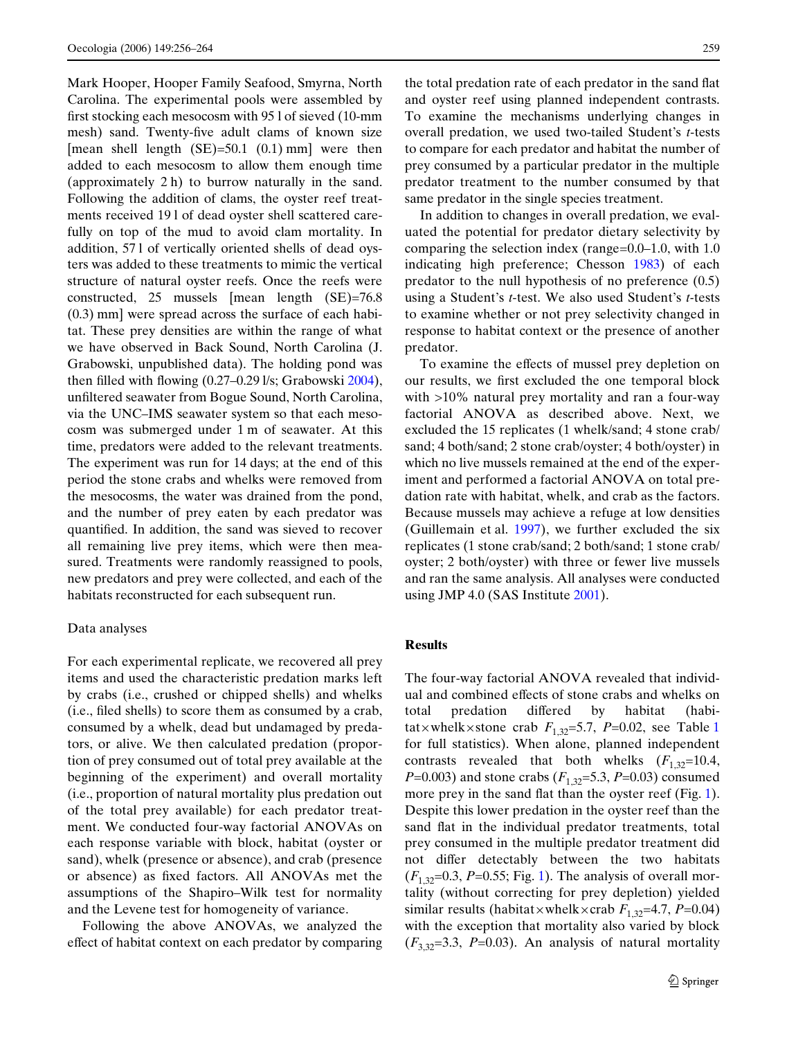Mark Hooper, Hooper Family Seafood, Smyrna, North Carolina. The experimental pools were assembled by first stocking each mesocosm with  $95$  l of sieved (10-mm) mesh) sand. Twenty-five adult clams of known size [mean shell length  $(SE)=50.1$   $(0.1)$  mm] were then added to each mesocosm to allow them enough time (approximately 2 h) to burrow naturally in the sand. Following the addition of clams, the oyster reef treatments received 19 l of dead oyster shell scattered carefully on top of the mud to avoid clam mortality. In addition, 57 l of vertically oriented shells of dead oysters was added to these treatments to mimic the vertical structure of natural oyster reefs. Once the reefs were constructed, 25 mussels [mean length (SE)=76.8 (0.3) mm] were spread across the surface of each habitat. These prey densities are within the range of what we have observed in Back Sound, North Carolina (J. Grabowski, unpublished data). The holding pond was then filled with flowing  $(0.27-0.29 \frac{\text{1}}{\text{s}}; \text{Grabowski } 2004)$  $(0.27-0.29 \frac{\text{1}}{\text{s}}; \text{Grabowski } 2004)$ , unfiltered seawater from Bogue Sound, North Carolina, via the UNC–IMS seawater system so that each mesocosm was submerged under 1 m of seawater. At this time, predators were added to the relevant treatments. The experiment was run for 14 days; at the end of this period the stone crabs and whelks were removed from the mesocosms, the water was drained from the pond, and the number of prey eaten by each predator was quantified. In addition, the sand was sieved to recover all remaining live prey items, which were then measured. Treatments were randomly reassigned to pools, new predators and prey were collected, and each of the habitats reconstructed for each subsequent run.

#### Data analyses

For each experimental replicate, we recovered all prey items and used the characteristic predation marks left by crabs (i.e., crushed or chipped shells) and whelks (i.e., Wled shells) to score them as consumed by a crab, consumed by a whelk, dead but undamaged by predators, or alive. We then calculated predation (proportion of prey consumed out of total prey available at the beginning of the experiment) and overall mortality (i.e., proportion of natural mortality plus predation out of the total prey available) for each predator treatment. We conducted four-way factorial ANOVAs on each response variable with block, habitat (oyster or sand), whelk (presence or absence), and crab (presence or absence) as fixed factors. All ANOVAs met the assumptions of the Shapiro–Wilk test for normality and the Levene test for homogeneity of variance.

Following the above ANOVAs, we analyzed the effect of habitat context on each predator by comparing the total predation rate of each predator in the sand flat and oyster reef using planned independent contrasts. To examine the mechanisms underlying changes in overall predation, we used two-tailed Student's *t*-tests to compare for each predator and habitat the number of prey consumed by a particular predator in the multiple predator treatment to the number consumed by that same predator in the single species treatment.

In addition to changes in overall predation, we evaluated the potential for predator dietary selectivity by comparing the selection index (range=0.0–1.0, with 1.0 indicating high preference; Chesson [1983\)](#page-7-11) of each predator to the null hypothesis of no preference (0.5) using a Student's *t*-test. We also used Student's *t-*tests to examine whether or not prey selectivity changed in response to habitat context or the presence of another predator.

To examine the effects of mussel prey depletion on our results, we first excluded the one temporal block with >10% natural prey mortality and ran a four-way factorial ANOVA as described above. Next, we excluded the 15 replicates (1 whelk/sand; 4 stone crab/ sand; 4 both/sand; 2 stone crab/oyster; 4 both/oyster) in which no live mussels remained at the end of the experiment and performed a factorial ANOVA on total predation rate with habitat, whelk, and crab as the factors. Because mussels may achieve a refuge at low densities (Guillemain et al. [1997\)](#page-8-24), we further excluded the six replicates (1 stone crab/sand; 2 both/sand; 1 stone crab/ oyster; 2 both/oyster) with three or fewer live mussels and ran the same analysis. All analyses were conducted using JMP 4.0 (SAS Institute [2001\)](#page-8-25).

# **Results**

The four-way factorial ANOVA revealed that individual and combined effects of stone crabs and whelks on total predation differed by habitat (habitat×whelk×stone crab  $F_{1,32}$  $F_{1,32}$  $F_{1,32}$ =5.7, *P*=0.02, see Table 1 for full statistics). When alone, planned independent contrasts revealed that both whelks  $(F_{1,32}=10.4)$ , *P*=0.003) and stone crabs ( $F_{1,32}$ =5.3, *P*=0.03) consumed more prey in the sand flat than the oyster reef (Fig. [1\)](#page-4-1). Despite this lower predation in the oyster reef than the sand flat in the individual predator treatments, total prey consumed in the multiple predator treatment did not differ detectably between the two habitats  $(F_{1,32}=0.3, P=0.55; Fig. 1)$  $(F_{1,32}=0.3, P=0.55; Fig. 1)$ . The analysis of overall mortality (without correcting for prey depletion) yielded similar results (habitat×whelk×crab  $F_{1,32}$ =4.7, *P*=0.04) with the exception that mortality also varied by block  $(F_{3,32}=3.3, P=0.03)$ . An analysis of natural mortality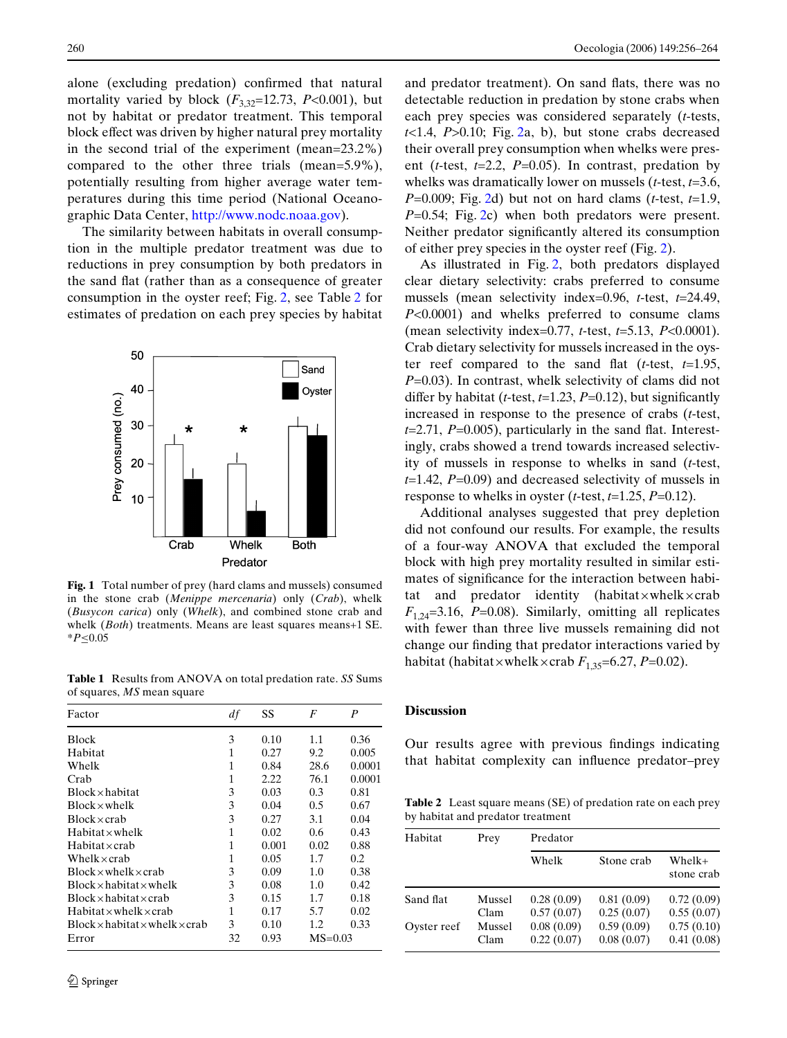alone (excluding predation) confirmed that natural mortality varied by block  $(F_{3,32}=12.73, P<0.001)$ , but not by habitat or predator treatment. This temporal block eff[ect was driven by higher natural prey mortality](http://www.nodc.noaa.gov) [in the second trial of the experiment \(mean=23.2%\)](http://www.nodc.noaa.gov) compared to the other three trials (mean=5.9%), potentially resulting from higher average water temperatures during this time period (National Oceano[graphic Data Center, h](http://www.nodc.noaa.gov)ttp://www.nodc.noaa.gov).

The similarity between habitats in overall consumption in the multiple predator treatment was due to reductions in prey consumption by both predators in the sand flat (rather than as a consequence of greater consumption in the oyster reef; Fig. [2](#page-5-0), see Table [2](#page-4-2) for estimates of predation on each prey species by habitat



<span id="page-4-1"></span>**Fig. 1** Total number of prey (hard clams and mussels) consumed in the stone crab (*Menippe mercenaria*) only (*Crab*), whelk (*Busycon carica*) only (*Whelk*), and combined stone crab and whelk (*Both*) treatments. Means are least squares means+1 SE. \**P*·0.05

<span id="page-4-0"></span>**Table 1** Results from ANOVA on total predation rate. *SS* Sums of squares, *MS* mean square

| Factor                                           | df           | SS    | F    | P           |  |
|--------------------------------------------------|--------------|-------|------|-------------|--|
| <b>Block</b>                                     | 3            | 0.10  | 1.1  | 0.36        |  |
| Habitat                                          | 1            | 0.27  | 9.2  | 0.005       |  |
| Whelk                                            | 1            | 0.84  | 28.6 | 0.0001      |  |
| Crab                                             | 1            | 2.22  | 76.1 | 0.0001      |  |
| $Block \times habitat$                           | 3            | 0.03  | 0.3  | 0.81        |  |
| $Block \times whelk$                             | 3            | 0.04  | 0.5  | 0.67        |  |
| $Block \times crab$                              | 3            | 0.27  | 3.1  | 0.04        |  |
| $H$ abitat $\times$ whelk                        | $\mathbf{1}$ | 0.02  | 0.6  | 0.43        |  |
| Habitat×crab                                     | 1            | 0.001 | 0.02 | 0.88        |  |
| Whelk $\times$ crab                              | 1            | 0.05  | 1.7  | 0.2         |  |
| $Block \times wheelk \times crash$               | 3            | 0.09  | 1.0  | 0.38        |  |
| $Block \times habit$ habitat $\times$ whelk      | 3            | 0.08  | 1.0  | 0.42        |  |
| $Block \times habit$ at $\times$                 | 3            | 0.15  | 1.7  | 0.18        |  |
| $H$ abitat $\times$ whelk $\times$ crab          | 1            | 0.17  | 5.7  | 0.02        |  |
| $Block \times habit$ and $x$ whelk $\times$ crab | 3            | 0.10  | 1.2  | 0.33        |  |
| Error                                            | 32           | 0.93  |      | $MS = 0.03$ |  |

and predator treatment). On sand flats, there was no detectable reduction in predation by stone crabs when each prey species was considered separately (*t*-tests,  $t$ <1.4,  $P$ >0.10; Fig. [2](#page-5-0)a, b), but stone crabs decreased their overall prey consumption when whelks were present (*t*-test, *t*=2.2, *P*=0.05). In contrast, predation by whelks was dramatically lower on mussels (*t*-test, *t*=3.6, *P*=0.009; Fig. [2d](#page-5-0)) but not on hard clams (*t*-test, *t*=1.9, *P*=0.54; Fig. [2](#page-5-0)c) when both predators were present. Neither predator significantly altered its consumption of either prey species in the oyster reef (Fig. [2](#page-5-0)).

As illustrated in Fig. [2,](#page-5-0) both predators displayed clear dietary selectivity: crabs preferred to consume mussels (mean selectivity index=0.96, *t*-test, *t*=24.49, *P*<0.0001) and whelks preferred to consume clams (mean selectivity index=0.77, *t*-test, *t*=5.13, *P*<0.0001). Crab dietary selectivity for mussels increased in the oyster reef compared to the sand flat ( $t$ -test,  $t=1.95$ , *P*=0.03). In contrast, whelk selectivity of clams did not differ by habitat (*t*-test,  $t=1.23$ ,  $P=0.12$ ), but significantly increased in response to the presence of crabs (*t*-test,  $t=2.71$ ,  $P=0.005$ ), particularly in the sand flat. Interestingly, crabs showed a trend towards increased selectivity of mussels in response to whelks in sand (*t*-test, *t*=1.42, *P*=0.09) and decreased selectivity of mussels in response to whelks in oyster ( $t$ -test,  $t=1.25$ ,  $P=0.12$ ).

Additional analyses suggested that prey depletion did not confound our results. For example, the results of a four-way ANOVA that excluded the temporal block with high prey mortality resulted in similar estimates of significance for the interaction between habitat and predator identity (habitat $\times$ whelk $\times$ crab  $F_{1,24}$ =3.16, *P*=0.08). Similarly, omitting all replicates with fewer than three live mussels remaining did not change our finding that predator interactions varied by habitat (habitat×whelk×crab  $F_{1,35}=6.27, P=0.02$ ).

## **Discussion**

Our results agree with previous findings indicating that habitat complexity can influence predator–prey

<span id="page-4-2"></span>**Table 2** Least square means (SE) of predation rate on each prey by habitat and predator treatment

| Habitat     | Prey   | Predator   |            |                      |  |
|-------------|--------|------------|------------|----------------------|--|
|             |        | Whelk      | Stone crab | Whelk+<br>stone crab |  |
| Sand flat   | Mussel | 0.28(0.09) | 0.81(0.09) | 0.72(0.09)           |  |
|             | Clam   | 0.57(0.07) | 0.25(0.07) | 0.55(0.07)           |  |
| Oyster reef | Mussel | 0.08(0.09) | 0.59(0.09) | 0.75(0.10)           |  |
|             | Clam   | 0.22(0.07) | 0.08(0.07) | 0.41(0.08)           |  |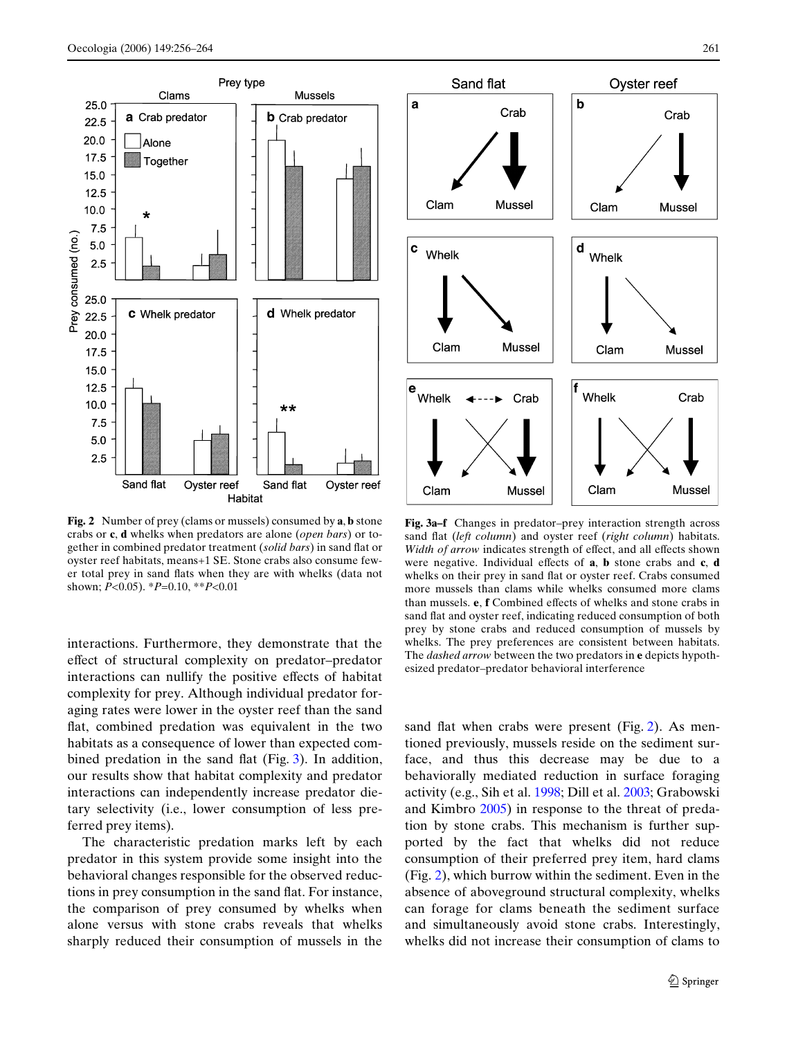

<span id="page-5-0"></span>**Fig. 2** Number of prey (clams or mussels) consumed by **a**, **b** stone crabs or **c**, **d** whelks when predators are alone (*open bars*) or together in combined predator treatment (solid bars) in sand flat or oyster reef habitats, means+1 SE. Stone crabs also consume fewer total prey in sand flats when they are with whelks (data not shown; *P*<0.05). \**P*=0.10, \*\**P*<0.01

interactions. Furthermore, they demonstrate that the effect of structural complexity on predator–predator interactions can nullify the positive effects of habitat complexity for prey. Although individual predator foraging rates were lower in the oyster reef than the sand flat, combined predation was equivalent in the two habitats as a consequence of lower than expected combined predation in the sand flat (Fig.  $3$ ). In addition, our results show that habitat complexity and predator interactions can independently increase predator dietary selectivity (i.e., lower consumption of less preferred prey items).

The characteristic predation marks left by each predator in this system provide some insight into the behavioral changes responsible for the observed reductions in prey consumption in the sand flat. For instance, the comparison of prey consumed by whelks when alone versus with stone crabs reveals that whelks sharply reduced their consumption of mussels in the



<span id="page-5-1"></span>**Fig. 3a–f** Changes in predator–prey interaction strength across sand flat (*left column*) and oyster reef (*right column*) habitats. *Width of arrow* indicates strength of effect, and all effects shown were negative. Individual effects of **a**, **b** stone crabs and **c**, **d** whelks on their prey in sand flat or oyster reef. Crabs consumed more mussels than clams while whelks consumed more clams than mussels. **e**, **f** Combined effects of whelks and stone crabs in sand flat and oyster reef, indicating reduced consumption of both prey by stone crabs and reduced consumption of mussels by whelks. The prey preferences are consistent between habitats. The *dashed arrow* between the two predators in **e** depicts hypothesized predator–predator behavioral interference

sand flat when crabs were present (Fig. [2](#page-5-0)). As mentioned previously, mussels reside on the sediment surface, and thus this decrease may be due to a behaviorally mediated reduction in surface foraging activity (e.g., Sih et al. [1998;](#page-8-4) Dill et al. [2003;](#page-7-12) Grabowski and Kimbro [2005](#page-7-13)) in response to the threat of predation by stone crabs. This mechanism is further supported by the fact that whelks did not reduce consumption of their preferred prey item, hard clams (Fig. [2\)](#page-5-0), which burrow within the sediment. Even in the absence of aboveground structural complexity, whelks can forage for clams beneath the sediment surface and simultaneously avoid stone crabs. Interestingly, whelks did not increase their consumption of clams to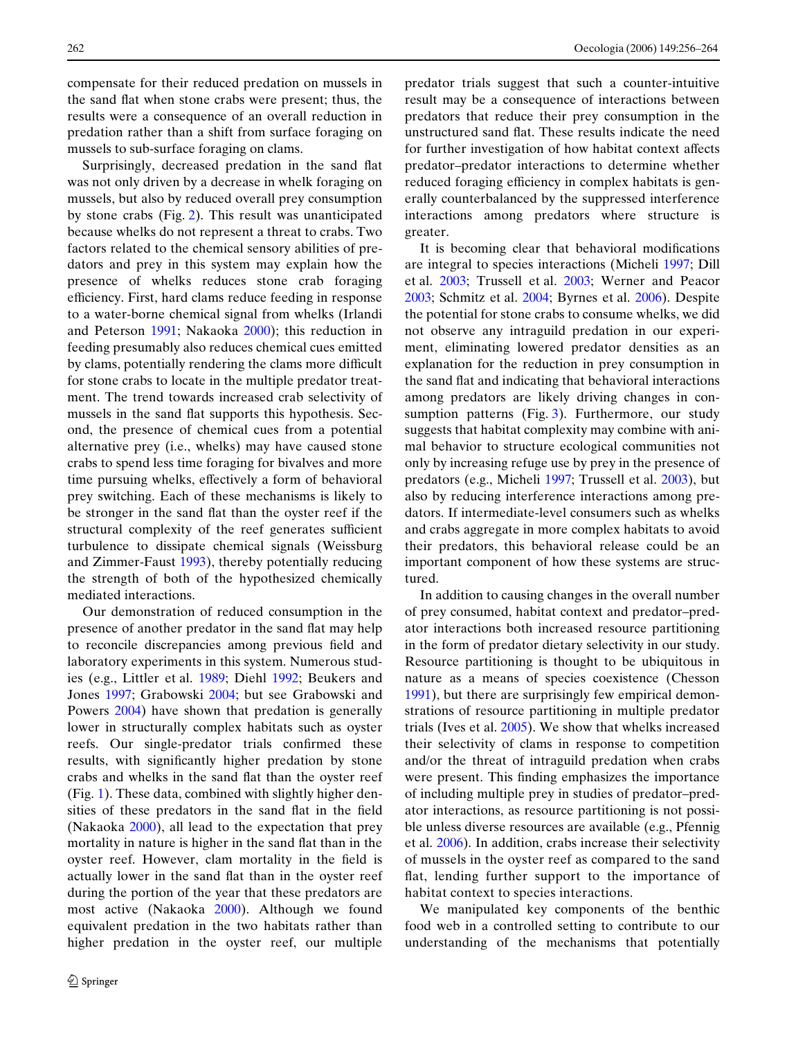compensate for their reduced predation on mussels in the sand flat when stone crabs were present; thus, the results were a consequence of an overall reduction in predation rather than a shift from surface foraging on mussels to sub-surface foraging on clams.

Surprisingly, decreased predation in the sand flat was not only driven by a decrease in whelk foraging on mussels, but also by reduced overall prey consumption by stone crabs (Fig. [2\)](#page-5-0). This result was unanticipated because whelks do not represent a threat to crabs. Two factors related to the chemical sensory abilities of predators and prey in this system may explain how the presence of whelks reduces stone crab foraging efficiency. First, hard clams reduce feeding in response to a water-borne chemical signal from whelks (Irlandi and Peterson [1991](#page-8-9); Nakaoka [2000](#page-8-20)); this reduction in feeding presumably also reduces chemical cues emitted by clams, potentially rendering the clams more difficult for stone crabs to locate in the multiple predator treatment. The trend towards increased crab selectivity of mussels in the sand flat supports this hypothesis. Second, the presence of chemical cues from a potential alternative prey (i.e., whelks) may have caused stone crabs to spend less time foraging for bivalves and more time pursuing whelks, effectively a form of behavioral prey switching. Each of these mechanisms is likely to be stronger in the sand flat than the oyster reef if the structural complexity of the reef generates sufficient turbulence to dissipate chemical signals (Weissburg and Zimmer-Faust [1993\)](#page-8-26), thereby potentially reducing the strength of both of the hypothesized chemically mediated interactions.

Our demonstration of reduced consumption in the presence of another predator in the sand flat may help to reconcile discrepancies among previous field and laboratory experiments in this system. Numerous studies (e.g., Littler et al. [1989](#page-8-27); Diehl [1992;](#page-7-2) Beukers and Jones [1997;](#page-7-4) Grabowski [2004](#page-7-9); but see Grabowski and Powers [2004\)](#page-8-7) have shown that predation is generally lower in structurally complex habitats such as oyster reefs. Our single-predator trials confirmed these results, with significantly higher predation by stone crabs and whelks in the sand flat than the oyster reef (Fig. [1\)](#page-4-1). These data, combined with slightly higher densities of these predators in the sand flat in the field (Nakaoka [2000](#page-8-20)), all lead to the expectation that prey mortality in nature is higher in the sand flat than in the oyster reef. However, clam mortality in the field is actually lower in the sand flat than in the oyster reef during the portion of the year that these predators are most active (Nakaoka [2000](#page-8-20)). Although we found equivalent predation in the two habitats rather than higher predation in the oyster reef, our multiple predator trials suggest that such a counter-intuitive result may be a consequence of interactions between predators that reduce their prey consumption in the unstructured sand flat. These results indicate the need for further investigation of how habitat context affects predator–predator interactions to determine whether reduced foraging efficiency in complex habitats is generally counterbalanced by the suppressed interference interactions among predators where structure is greater.

It is becoming clear that behavioral modifications are integral to species interactions (Micheli [1997;](#page-8-28) Dill et al. [2003;](#page-7-12) Trussell et al. [2003;](#page-8-29) Werner and Peacor [2003](#page-8-30); Schmitz et al. [2004](#page-8-31); Byrnes et al. [2006](#page-7-14)). Despite the potential for stone crabs to consume whelks, we did not observe any intraguild predation in our experiment, eliminating lowered predator densities as an explanation for the reduction in prey consumption in the sand flat and indicating that behavioral interactions among predators are likely driving changes in con-sumption patterns (Fig. [3](#page-5-1)). Furthermore, our study suggests that habitat complexity may combine with animal behavior to structure ecological communities not only by increasing refuge use by prey in the presence of predators (e.g., Micheli [1997;](#page-8-28) Trussell et al. [2003](#page-8-29)), but also by reducing interference interactions among predators. If intermediate-level consumers such as whelks and crabs aggregate in more complex habitats to avoid their predators, this behavioral release could be an important component of how these systems are structured.

In addition to causing changes in the overall number of prey consumed, habitat context and predator–predator interactions both increased resource partitioning in the form of predator dietary selectivity in our study. Resource partitioning is thought to be ubiquitous in nature as a means of species coexistence (Chesson [1991](#page-7-15)), but there are surprisingly few empirical demonstrations of resource partitioning in multiple predator trials (Ives et al. [2005\)](#page-8-1). We show that whelks increased their selectivity of clams in response to competition and/or the threat of intraguild predation when crabs were present. This finding emphasizes the importance of including multiple prey in studies of predator–predator interactions, as resource partitioning is not possible unless diverse resources are available (e.g., Pfennig et al. [2006](#page-8-32)). In addition, crabs increase their selectivity of mussels in the oyster reef as compared to the sand flat, lending further support to the importance of habitat context to species interactions.

We manipulated key components of the benthic food web in a controlled setting to contribute to our understanding of the mechanisms that potentially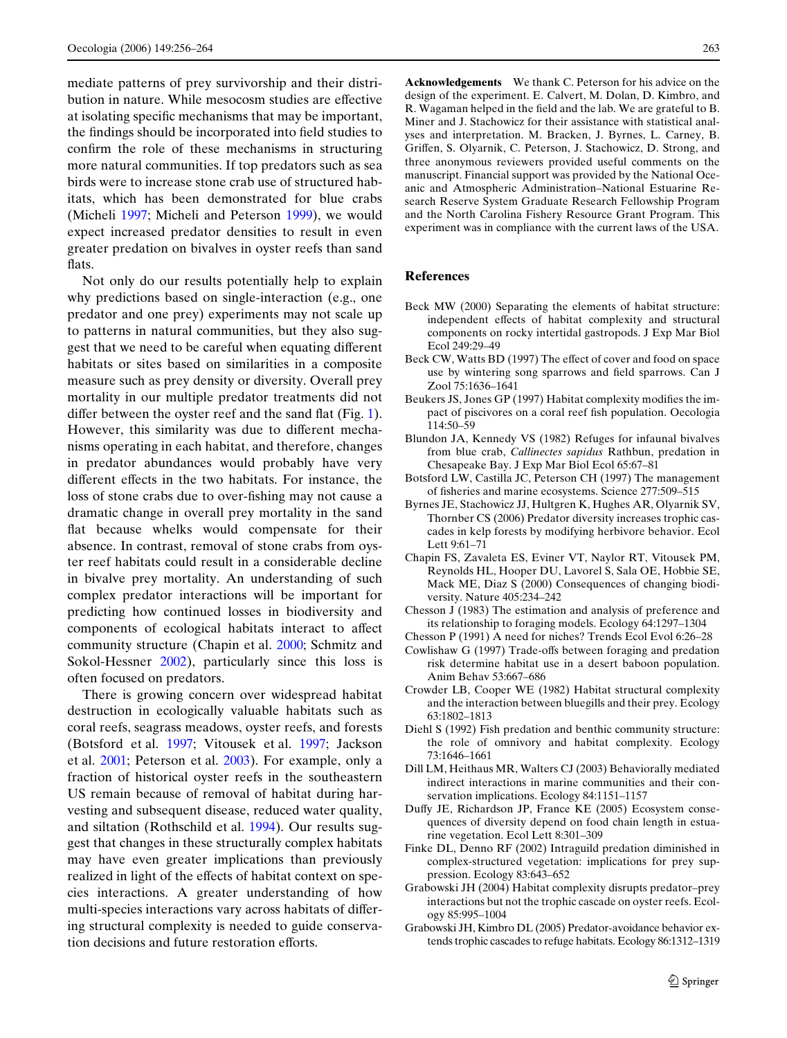mediate patterns of prey survivorship and their distribution in nature. While mesocosm studies are effective at isolating specific mechanisms that may be important, the findings should be incorporated into field studies to confirm the role of these mechanisms in structuring more natural communities. If top predators such as sea birds were to increase stone crab use of structured habitats, which has been demonstrated for blue crabs (Micheli [1997](#page-8-28); Micheli and Peterson [1999](#page-8-21)), we would expect increased predator densities to result in even greater predation on bivalves in oyster reefs than sand flats.

Not only do our results potentially help to explain why predictions based on single-interaction (e.g., one predator and one prey) experiments may not scale up to patterns in natural communities, but they also suggest that we need to be careful when equating different habitats or sites based on similarities in a composite measure such as prey density or diversity. Overall prey mortality in our multiple predator treatments did not differ between the oyster reef and the sand flat (Fig. [1\)](#page-4-1). However, this similarity was due to different mechanisms operating in each habitat, and therefore, changes in predator abundances would probably have very different effects in the two habitats. For instance, the loss of stone crabs due to over-fishing may not cause a dramatic change in overall prey mortality in the sand flat because whelks would compensate for their absence. In contrast, removal of stone crabs from oyster reef habitats could result in a considerable decline in bivalve prey mortality. An understanding of such complex predator interactions will be important for predicting how continued losses in biodiversity and components of ecological habitats interact to affect community structure (Chapin et al. [2000](#page-7-0); Schmitz and Sokol-Hessner [2002](#page-8-33)), particularly since this loss is often focused on predators.

There is growing concern over widespread habitat destruction in ecologically valuable habitats such as coral reefs, seagrass meadows, oyster reefs, and forests (Botsford et al. [1997;](#page-7-16) Vitousek et al. [1997](#page-8-34); Jackson et al. [2001;](#page-8-35) Peterson et al. [2003](#page-8-36)). For example, only a fraction of historical oyster reefs in the southeastern US remain because of removal of habitat during harvesting and subsequent disease, reduced water quality, and siltation (Rothschild et al. [1994](#page-8-37)). Our results suggest that changes in these structurally complex habitats may have even greater implications than previously realized in light of the effects of habitat context on species interactions. A greater understanding of how multi-species interactions vary across habitats of differing structural complexity is needed to guide conservation decisions and future restoration efforts.

**Acknowledgements** We thank C. Peterson for his advice on the design of the experiment. E. Calvert, M. Dolan, D. Kimbro, and R. Wagaman helped in the field and the lab. We are grateful to B. Miner and J. Stachowicz for their assistance with statistical analyses and interpretation. M. Bracken, J. Byrnes, L. Carney, B. Griffen, S. Olyarnik, C. Peterson, J. Stachowicz, D. Strong, and three anonymous reviewers provided useful comments on the manuscript. Financial support was provided by the National Oceanic and Atmospheric Administration–National Estuarine Research Reserve System Graduate Research Fellowship Program and the North Carolina Fishery Resource Grant Program. This experiment was in compliance with the current laws of the USA.

#### **References**

- <span id="page-7-10"></span>Beck MW (2000) Separating the elements of habitat structure: independent effects of habitat complexity and structural components on rocky intertidal gastropods. J Exp Mar Biol Ecol 249:29–49
- <span id="page-7-3"></span>Beck CW, Watts BD (1997) The effect of cover and food on space use by wintering song sparrows and field sparrows. Can J Zool 75:1636–1641
- <span id="page-7-4"></span>Beukers JS, Jones GP (1997) Habitat complexity modifies the impact of piscivores on a coral reef fish population. Oecologia 114:50–59
- <span id="page-7-7"></span>Blundon JA, Kennedy VS (1982) Refuges for infaunal bivalves from blue crab, *Callinectes sapidus* Rathbun, predation in Chesapeake Bay. J Exp Mar Biol Ecol 65:67–81
- <span id="page-7-16"></span>Botsford LW, Castilla JC, Peterson CH (1997) The management of fisheries and marine ecosystems. Science 277:509-515
- <span id="page-7-14"></span>Byrnes JE, Stachowicz JJ, Hultgren K, Hughes AR, Olyarnik SV, Thornber CS (2006) Predator diversity increases trophic cascades in kelp forests by modifying herbivore behavior. Ecol Lett 9:61–71
- <span id="page-7-0"></span>Chapin FS, Zavaleta ES, Eviner VT, Naylor RT, Vitousek PM, Reynolds HL, Hooper DU, Lavorel S, Sala OE, Hobbie SE, Mack ME, Diaz S (2000) Consequences of changing biodiversity. Nature 405:234–242
- <span id="page-7-11"></span>Chesson J (1983) The estimation and analysis of preference and its relationship to foraging models. Ecology 64:1297–1304
- <span id="page-7-15"></span>Chesson P (1991) A need for niches? Trends Ecol Evol 6:26–28
- <span id="page-7-5"></span>Cowlishaw G (1997) Trade-offs between foraging and predation risk determine habitat use in a desert baboon population. Anim Behav 53:667–686
- <span id="page-7-6"></span>Crowder LB, Cooper WE (1982) Habitat structural complexity and the interaction between bluegills and their prey. Ecology 63:1802–1813
- <span id="page-7-2"></span>Diehl S (1992) Fish predation and benthic community structure: the role of omnivory and habitat complexity. Ecology 73:1646–1661
- <span id="page-7-12"></span>Dill LM, Heithaus MR, Walters CJ (2003) Behaviorally mediated indirect interactions in marine communities and their conservation implications. Ecology 84:1151–1157
- <span id="page-7-1"></span>Duffy JE, Richardson JP, France KE (2005) Ecosystem consequences of diversity depend on food chain length in estuarine vegetation. Ecol Lett 8:301–309
- <span id="page-7-8"></span>Finke DL, Denno RF (2002) Intraguild predation diminished in complex-structured vegetation: implications for prey suppression. Ecology 83:643–652
- <span id="page-7-9"></span>Grabowski JH (2004) Habitat complexity disrupts predator–prey interactions but not the trophic cascade on oyster reefs. Ecology 85:995–1004
- <span id="page-7-13"></span>Grabowski JH, Kimbro DL (2005) Predator-avoidance behavior extends trophic cascades to refuge habitats. Ecology 86:1312–1319